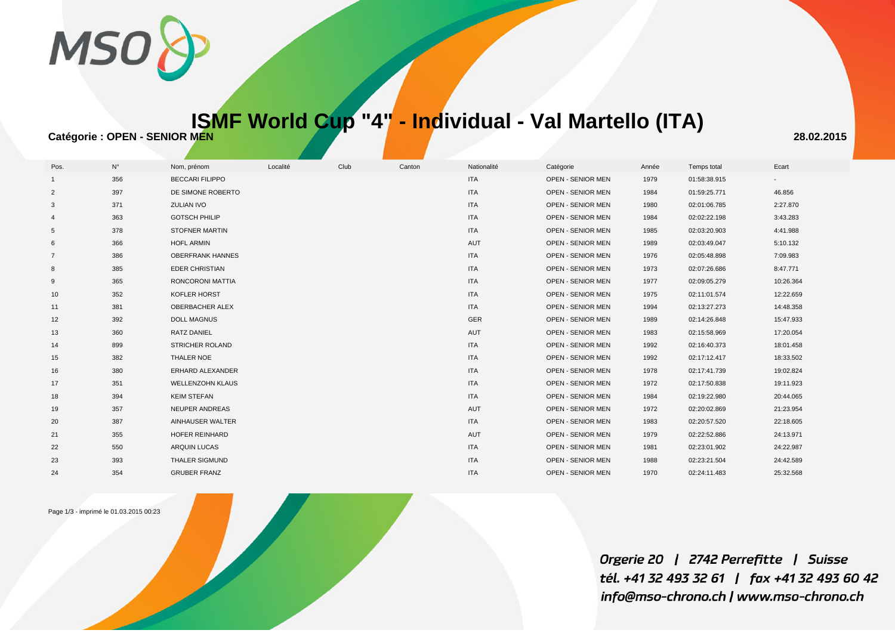

## **ISMF World Cup "4" - Individual - Val Martello (ITA)**

**Catégorie : OPEN - SENIOR MEN** 28.02.2015

| Pos.            | $N^{\circ}$ | Nom, prénom             | Localité | Club | Canton | Nationalité | Catégorie                | Année | Temps total  | Ecart     |
|-----------------|-------------|-------------------------|----------|------|--------|-------------|--------------------------|-------|--------------|-----------|
|                 | 356         | <b>BECCARI FILIPPO</b>  |          |      |        | <b>ITA</b>  | OPEN - SENIOR MEN        | 1979  | 01:58:38.915 |           |
| 2               | 397         | DE SIMONE ROBERTO       |          |      |        | <b>ITA</b>  | OPEN - SENIOR MEN        | 1984  | 01:59:25.771 | 46.856    |
| 3               | 371         | <b>ZULIAN IVO</b>       |          |      |        | <b>ITA</b>  | <b>OPEN - SENIOR MEN</b> | 1980  | 02:01:06.785 | 2:27.870  |
|                 | 363         | <b>GOTSCH PHILIP</b>    |          |      |        | <b>ITA</b>  | <b>OPEN - SENIOR MEN</b> | 1984  | 02:02:22.198 | 3:43.283  |
| 5               | 378         | STOFNER MARTIN          |          |      |        | <b>ITA</b>  | OPEN - SENIOR MEN        | 1985  | 02:03:20.903 | 4:41.988  |
| 6               | 366         | <b>HOFL ARMIN</b>       |          |      |        | AUT         | <b>OPEN - SENIOR MEN</b> | 1989  | 02:03:49.047 | 5:10.132  |
| 7               | 386         | <b>OBERFRANK HANNES</b> |          |      |        | <b>ITA</b>  | <b>OPEN - SENIOR MEN</b> | 1976  | 02:05:48.898 | 7:09.983  |
| 8               | 385         | <b>EDER CHRISTIAN</b>   |          |      |        | <b>ITA</b>  | OPEN - SENIOR MEN        | 1973  | 02:07:26.686 | 8:47.771  |
| 9               | 365         | RONCORONI MATTIA        |          |      |        | <b>ITA</b>  | <b>OPEN - SENIOR MEN</b> | 1977  | 02:09:05.279 | 10:26.364 |
| 10 <sup>°</sup> | 352         | KOFLER HORST            |          |      |        | <b>ITA</b>  | OPEN - SENIOR MEN        | 1975  | 02:11:01.574 | 12:22.659 |
| 11              | 381         | OBERBACHER ALEX         |          |      |        | <b>ITA</b>  | <b>OPEN - SENIOR MEN</b> | 1994  | 02:13:27.273 | 14:48.358 |
| 12              | 392         | <b>DOLL MAGNUS</b>      |          |      |        | GER         | <b>OPEN - SENIOR MEN</b> | 1989  | 02:14:26.848 | 15:47.933 |
| 13              | 360         | <b>RATZ DANIEL</b>      |          |      |        | AUT         | OPEN - SENIOR MEN        | 1983  | 02:15:58.969 | 17:20.054 |
| 14              | 899         | STRICHER ROLAND         |          |      |        | <b>ITA</b>  | <b>OPEN - SENIOR MEN</b> | 1992  | 02:16:40.373 | 18:01.458 |
| 15              | 382         | THALER NOE              |          |      |        | <b>ITA</b>  | <b>OPEN - SENIOR MEN</b> | 1992  | 02:17:12.417 | 18:33.502 |
| 16              | 380         | ERHARD ALEXANDER        |          |      |        | <b>ITA</b>  | <b>OPEN - SENIOR MEN</b> | 1978  | 02:17:41.739 | 19:02.824 |
| 17              | 351         | <b>WELLENZOHN KLAUS</b> |          |      |        | <b>ITA</b>  | <b>OPEN - SENIOR MEN</b> | 1972  | 02:17:50.838 | 19:11.923 |
| 18              | 394         | <b>KEIM STEFAN</b>      |          |      |        | <b>ITA</b>  | <b>OPEN - SENIOR MEN</b> | 1984  | 02:19:22.980 | 20:44.065 |
| 19              | 357         | NEUPER ANDREAS          |          |      |        | AUT         | OPEN - SENIOR MEN        | 1972  | 02:20:02.869 | 21:23.954 |
| 20              | 387         | AINHAUSER WALTER        |          |      |        | <b>ITA</b>  | <b>OPEN - SENIOR MEN</b> | 1983  | 02:20:57.520 | 22:18.605 |
| 21              | 355         | HOFER REINHARD          |          |      |        | AUT         | <b>OPEN - SENIOR MEN</b> | 1979  | 02:22:52.886 | 24:13.971 |
| 22              | 550         | ARQUIN LUCAS            |          |      |        | <b>ITA</b>  | OPEN - SENIOR MEN        | 1981  | 02:23:01.902 | 24:22.987 |
| 23              | 393         | THALER SIGMUND          |          |      |        | <b>ITA</b>  | OPEN - SENIOR MEN        | 1988  | 02:23:21.504 | 24:42.589 |
| 24              | 354         | <b>GRUBER FRANZ</b>     |          |      |        | <b>ITA</b>  | <b>OPEN - SENIOR MEN</b> | 1970  | 02:24:11.483 | 25:32.568 |

Page 1/3 - imprimé le 01.03.2015 00:23

Orgerie 20 | 2742 Perrefitte | Suisse tél. +41 32 493 32 61 | fax +41 32 493 60 42 info@mso-chrono.ch | www.mso-chrono.ch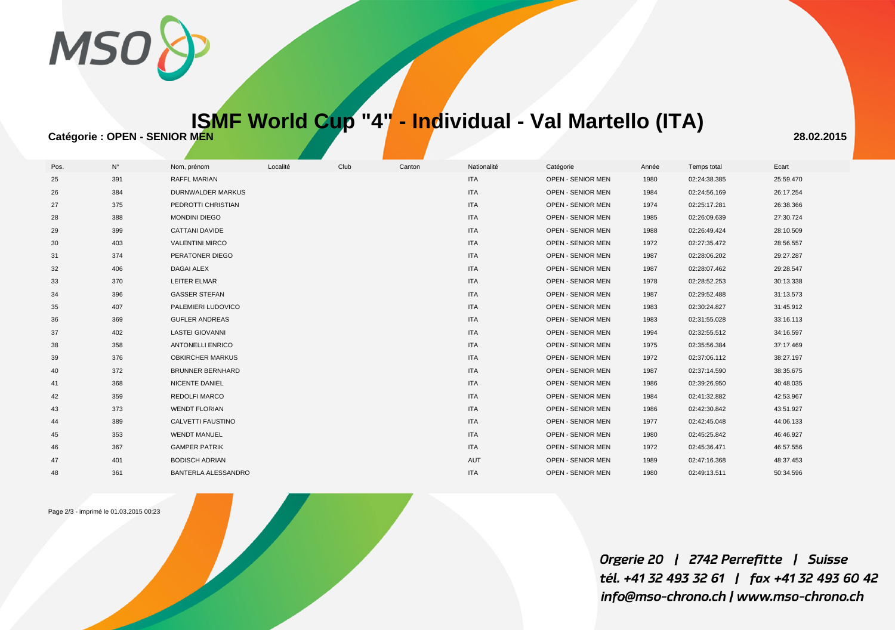

## **ISMF World Cup "4" - Individual - Val Martello (ITA)**

**Catégorie : OPEN - SENIOR MEN** 28.02.2015

| Pos. | $N^{\circ}$ | Nom, prénom             | Localité | Club | Canton | Nationalité | Catégorie                | Année | Temps total  | Ecart     |
|------|-------------|-------------------------|----------|------|--------|-------------|--------------------------|-------|--------------|-----------|
| 25   | 391         | RAFFL MARIAN            |          |      |        | <b>ITA</b>  | OPEN - SENIOR MEN        | 1980  | 02:24:38.385 | 25:59.470 |
| 26   | 384         | DURNWALDER MARKUS       |          |      |        | <b>ITA</b>  | OPEN - SENIOR MEN        | 1984  | 02:24:56.169 | 26:17.254 |
| 27   | 375         | PEDROTTI CHRISTIAN      |          |      |        | <b>ITA</b>  | <b>OPEN - SENIOR MEN</b> | 1974  | 02:25:17.281 | 26:38.366 |
| 28   | 388         | <b>MONDINI DIEGO</b>    |          |      |        | <b>ITA</b>  | <b>OPEN - SENIOR MEN</b> | 1985  | 02:26:09.639 | 27:30.724 |
| 29   | 399         | <b>CATTANI DAVIDE</b>   |          |      |        | <b>ITA</b>  | <b>OPEN - SENIOR MEN</b> | 1988  | 02:26:49.424 | 28:10.509 |
| 30   | 403         | <b>VALENTINI MIRCO</b>  |          |      |        | <b>ITA</b>  | <b>OPEN - SENIOR MEN</b> | 1972  | 02:27:35.472 | 28:56.557 |
| 31   | 374         | PERATONER DIEGO         |          |      |        | <b>ITA</b>  | <b>OPEN - SENIOR MEN</b> | 1987  | 02:28:06.202 | 29:27.287 |
| 32   | 406         | <b>DAGAI ALEX</b>       |          |      |        | <b>ITA</b>  | <b>OPEN - SENIOR MEN</b> | 1987  | 02:28:07.462 | 29:28.547 |
| 33   | 370         | LEITER ELMAR            |          |      |        | <b>ITA</b>  | OPEN - SENIOR MEN        | 1978  | 02:28:52.253 | 30:13.338 |
| 34   | 396         | <b>GASSER STEFAN</b>    |          |      |        | ITA         | <b>OPEN - SENIOR MEN</b> | 1987  | 02:29:52.488 | 31:13.573 |
| 35   | 407         | PALEMIERI LUDOVICO      |          |      |        | <b>ITA</b>  | <b>OPEN - SENIOR MEN</b> | 1983  | 02:30:24.827 | 31:45.912 |
| 36   | 369         | <b>GUFLER ANDREAS</b>   |          |      |        | <b>ITA</b>  | <b>OPEN - SENIOR MEN</b> | 1983  | 02:31:55.028 | 33:16.113 |
| 37   | 402         | <b>LASTEI GIOVANNI</b>  |          |      |        | <b>ITA</b>  | OPEN - SENIOR MEN        | 1994  | 02:32:55.512 | 34:16.597 |
| 38   | 358         | <b>ANTONELLI ENRICO</b> |          |      |        | <b>ITA</b>  | <b>OPEN - SENIOR MEN</b> | 1975  | 02:35:56.384 | 37:17.469 |
| 39   | 376         | <b>OBKIRCHER MARKUS</b> |          |      |        | <b>ITA</b>  | OPEN - SENIOR MEN        | 1972  | 02:37:06.112 | 38:27.197 |
| 40   | 372         | <b>BRUNNER BERNHARD</b> |          |      |        | <b>ITA</b>  | OPEN - SENIOR MEN        | 1987  | 02:37:14.590 | 38:35.675 |
| 41   | 368         | NICENTE DANIEL          |          |      |        | <b>ITA</b>  | <b>OPEN - SENIOR MEN</b> | 1986  | 02:39:26.950 | 40:48.035 |
| 42   | 359         | REDOLFI MARCO           |          |      |        | <b>ITA</b>  | <b>OPEN - SENIOR MEN</b> | 1984  | 02:41:32.882 | 42:53.967 |
| 43   | 373         | <b>WENDT FLORIAN</b>    |          |      |        | <b>ITA</b>  | <b>OPEN - SENIOR MEN</b> | 1986  | 02:42:30.842 | 43:51.927 |
| 44   | 389         | CALVETTI FAUSTINO       |          |      |        | <b>ITA</b>  | <b>OPEN - SENIOR MEN</b> | 1977  | 02:42:45.048 | 44:06.133 |
| 45   | 353         | <b>WENDT MANUEL</b>     |          |      |        | <b>ITA</b>  | <b>OPEN - SENIOR MEN</b> | 1980  | 02:45:25.842 | 46:46.927 |
| 46   | 367         | <b>GAMPER PATRIK</b>    |          |      |        | <b>ITA</b>  | OPEN - SENIOR MEN        | 1972  | 02:45:36.471 | 46:57.556 |
| 47   | 401         | <b>BODISCH ADRIAN</b>   |          |      |        | AUT         | OPEN - SENIOR MEN        | 1989  | 02:47:16.368 | 48:37.453 |
| 48   | 361         | BANTERLA ALESSANDRO     |          |      |        | <b>ITA</b>  | <b>OPEN - SENIOR MEN</b> | 1980  | 02:49:13.511 | 50:34.596 |

Page 2/3 - imprimé le 01.03.2015 00:23

Orgerie 20 | 2742 Perrefitte | Suisse tél. +41 32 493 32 61 | fax +41 32 493 60 42 info@mso-chrono.ch | www.mso-chrono.ch